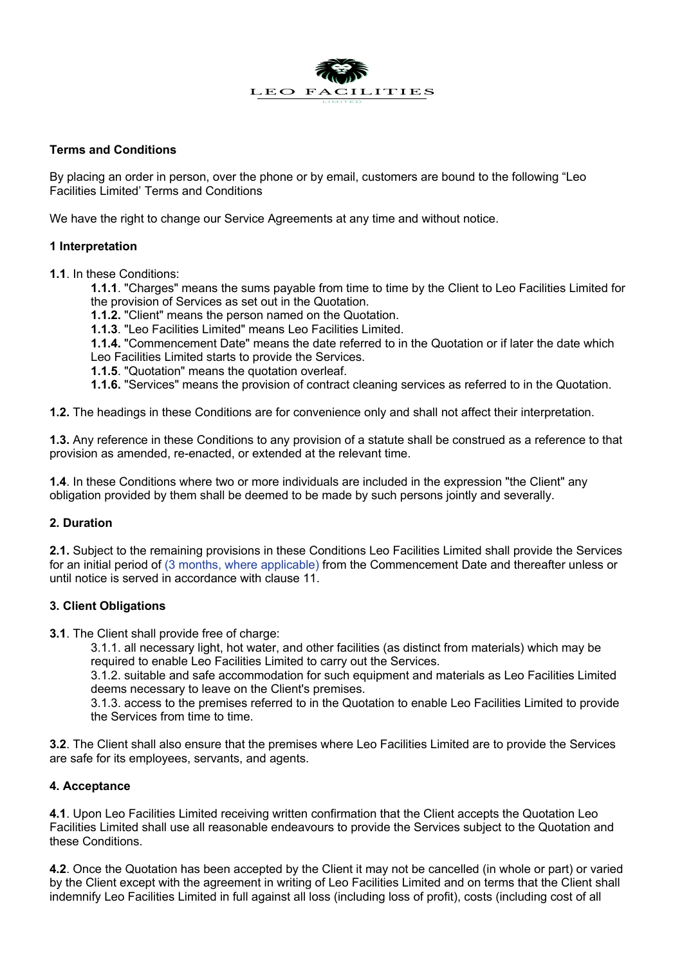

### **Terms and Conditions**

By placing an order in person, over the phone or by email, customers are bound to the following "Leo Facilities Limited' Terms and Conditions

We have the right to change our Service Agreements at any time and without notice.

# **1 Interpretation**

**1.1**. In these Conditions:

**1.1.1**. "Charges" means the sums payable from time to time by the Client to Leo Facilities Limited for the provision of Services as set out in the Quotation.

**1.1.2.** "Client" means the person named on the Quotation.

**1.1.3**. "Leo Facilities Limited" means Leo Facilities Limited.

**1.1.4.** "Commencement Date" means the date referred to in the Quotation or if later the date which Leo Facilities Limited starts to provide the Services.

**1.1.5**. "Quotation" means the quotation overleaf.

**1.1.6.** "Services" means the provision of contract cleaning services as referred to in the Quotation.

**1.2.** The headings in these Conditions are for convenience only and shall not affect their interpretation.

**1.3.** Any reference in these Conditions to any provision of a statute shall be construed as a reference to that provision as amended, re-enacted, or extended at the relevant time.

**1.4**. In these Conditions where two or more individuals are included in the expression "the Client" any obligation provided by them shall be deemed to be made by such persons jointly and severally.

# **2. Duration**

**2.1.** Subject to the remaining provisions in these Conditions Leo Facilities Limited shall provide the Services for an initial period of (3 months, where applicable) from the Commencement Date and thereafter unless or until notice is served in accordance with clause 11.

# **3. Client Obligations**

**3.1.** The Client shall provide free of charge:

3.1.1. all necessary light, hot water, and other facilities (as distinct from materials) which may be required to enable Leo Facilities Limited to carry out the Services.

3.1.2. suitable and safe accommodation for such equipment and materials as Leo Facilities Limited deems necessary to leave on the Client's premises.

3.1.3. access to the premises referred to in the Quotation to enable Leo Facilities Limited to provide the Services from time to time.

**3.2**. The Client shall also ensure that the premises where Leo Facilities Limited are to provide the Services are safe for its employees, servants, and agents.

### **4. Acceptance**

**4.1**. Upon Leo Facilities Limited receiving written confirmation that the Client accepts the Quotation Leo Facilities Limited shall use all reasonable endeavours to provide the Services subject to the Quotation and these Conditions.

**4.2**. Once the Quotation has been accepted by the Client it may not be cancelled (in whole or part) or varied by the Client except with the agreement in writing of Leo Facilities Limited and on terms that the Client shall indemnify Leo Facilities Limited in full against all loss (including loss of profit), costs (including cost of all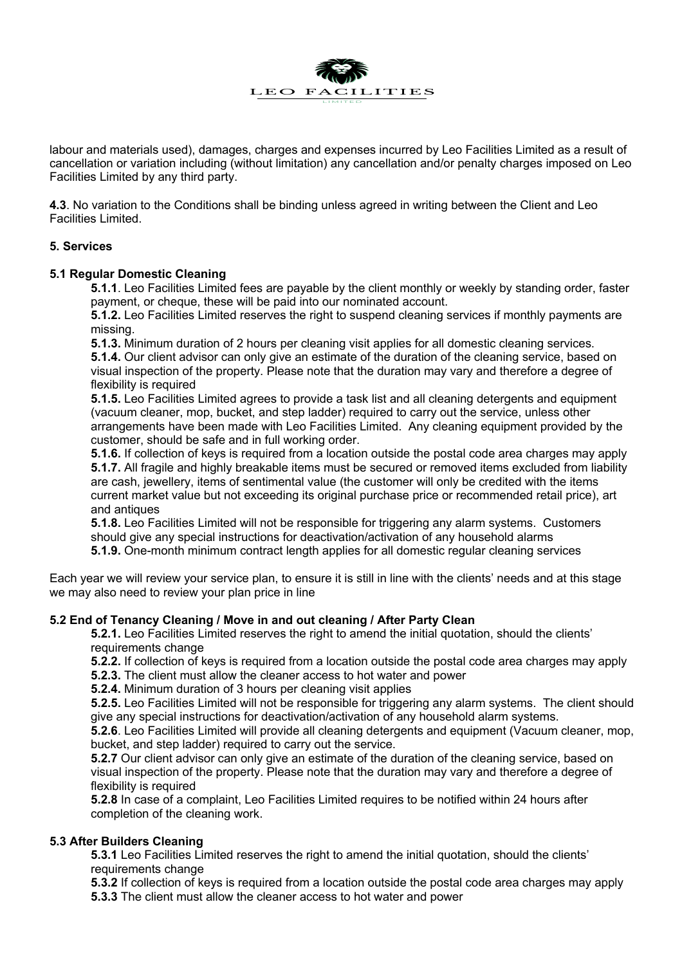

labour and materials used), damages, charges and expenses incurred by Leo Facilities Limited as a result of cancellation or variation including (without limitation) any cancellation and/or penalty charges imposed on Leo Facilities Limited by any third party.

**4.3**. No variation to the Conditions shall be binding unless agreed in writing between the Client and Leo Facilities Limited.

### **5. Services**

### **5.1 Regular Domestic Cleaning**

**5.1.1**. Leo Facilities Limited fees are payable by the client monthly or weekly by standing order, faster payment, or cheque, these will be paid into our nominated account.

**5.1.2.** Leo Facilities Limited reserves the right to suspend cleaning services if monthly payments are missing.

**5.1.3.** Minimum duration of 2 hours per cleaning visit applies for all domestic cleaning services. **5.1.4.** Our client advisor can only give an estimate of the duration of the cleaning service, based on visual inspection of the property. Please note that the duration may vary and therefore a degree of

flexibility is required **5.1.5.** Leo Facilities Limited agrees to provide a task list and all cleaning detergents and equipment (vacuum cleaner, mop, bucket, and step ladder) required to carry out the service, unless other arrangements have been made with Leo Facilities Limited. Any cleaning equipment provided by the customer, should be safe and in full working order.

**5.1.6.** If collection of keys is required from a location outside the postal code area charges may apply **5.1.7.** All fragile and highly breakable items must be secured or removed items excluded from liability are cash, jewellery, items of sentimental value (the customer will only be credited with the items current market value but not exceeding its original purchase price or recommended retail price), art and antiques

**5.1.8.** Leo Facilities Limited will not be responsible for triggering any alarm systems. Customers should give any special instructions for deactivation/activation of any household alarms **5.1.9.** One-month minimum contract length applies for all domestic regular cleaning services

Each year we will review your service plan, to ensure it is still in line with the clients' needs and at this stage we may also need to review your plan price in line

# **5.2 End of Tenancy Cleaning / Move in and out cleaning / After Party Clean**

**5.2.1.** Leo Facilities Limited reserves the right to amend the initial quotation, should the clients' requirements change

**5.2.2.** If collection of keys is required from a location outside the postal code area charges may apply

- **5.2.3.** The client must allow the cleaner access to hot water and power
- **5.2.4.** Minimum duration of 3 hours per cleaning visit applies

**5.2.5.** Leo Facilities Limited will not be responsible for triggering any alarm systems. The client should give any special instructions for deactivation/activation of any household alarm systems.

**5.2.6**. Leo Facilities Limited will provide all cleaning detergents and equipment (Vacuum cleaner, mop, bucket, and step ladder) required to carry out the service.

**5.2.7** Our client advisor can only give an estimate of the duration of the cleaning service, based on visual inspection of the property. Please note that the duration may vary and therefore a degree of flexibility is required

**5.2.8** In case of a complaint, Leo Facilities Limited requires to be notified within 24 hours after completion of the cleaning work.

### **5.3 After Builders Cleaning**

**5.3.1** Leo Facilities Limited reserves the right to amend the initial quotation, should the clients' requirements change

**5.3.2** If collection of keys is required from a location outside the postal code area charges may apply **5.3.3** The client must allow the cleaner access to hot water and power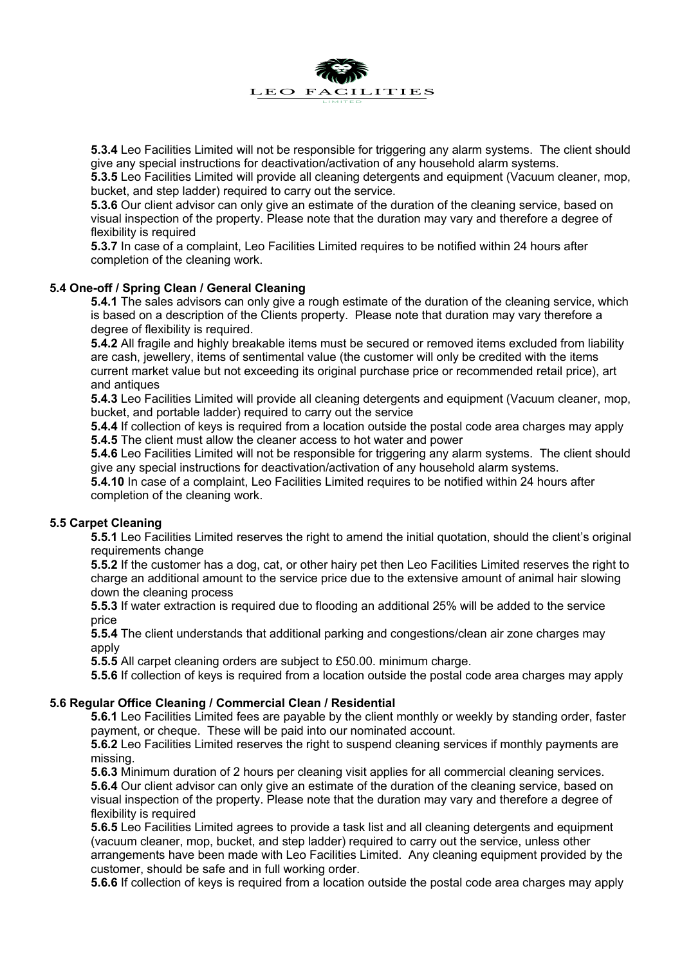

**5.3.4** Leo Facilities Limited will not be responsible for triggering any alarm systems. The client should give any special instructions for deactivation/activation of any household alarm systems.

**5.3.5** Leo Facilities Limited will provide all cleaning detergents and equipment (Vacuum cleaner, mop, bucket, and step ladder) required to carry out the service.

**5.3.6** Our client advisor can only give an estimate of the duration of the cleaning service, based on visual inspection of the property. Please note that the duration may vary and therefore a degree of flexibility is required

**5.3.7** In case of a complaint, Leo Facilities Limited requires to be notified within 24 hours after completion of the cleaning work.

### **5.4 One-off / Spring Clean / General Cleaning**

**5.4.1** The sales advisors can only give a rough estimate of the duration of the cleaning service, which is based on a description of the Clients property. Please note that duration may vary therefore a degree of flexibility is required.

**5.4.2** All fragile and highly breakable items must be secured or removed items excluded from liability are cash, jewellery, items of sentimental value (the customer will only be credited with the items current market value but not exceeding its original purchase price or recommended retail price), art and antiques

**5.4.3** Leo Facilities Limited will provide all cleaning detergents and equipment (Vacuum cleaner, mop, bucket, and portable ladder) required to carry out the service

**5.4.4** If collection of keys is required from a location outside the postal code area charges may apply **5.4.5** The client must allow the cleaner access to hot water and power

**5.4.6** Leo Facilities Limited will not be responsible for triggering any alarm systems. The client should give any special instructions for deactivation/activation of any household alarm systems.

**5.4.10** In case of a complaint, Leo Facilities Limited requires to be notified within 24 hours after completion of the cleaning work.

### **5.5 Carpet Cleaning**

**5.5.1** Leo Facilities Limited reserves the right to amend the initial quotation, should the client's original requirements change

**5.5.2** If the customer has a dog, cat, or other hairy pet then Leo Facilities Limited reserves the right to charge an additional amount to the service price due to the extensive amount of animal hair slowing down the cleaning process

**5.5.3** If water extraction is required due to flooding an additional 25% will be added to the service price

**5.5.4** The client understands that additional parking and congestions/clean air zone charges may apply

**5.5.5** All carpet cleaning orders are subject to £50.00. minimum charge.

**5.5.6** If collection of keys is required from a location outside the postal code area charges may apply

#### **5.6 Regular Office Cleaning / Commercial Clean / Residential**

**5.6.1** Leo Facilities Limited fees are payable by the client monthly or weekly by standing order, faster payment, or cheque. These will be paid into our nominated account.

**5.6.2** Leo Facilities Limited reserves the right to suspend cleaning services if monthly payments are missing.

**5.6.3** Minimum duration of 2 hours per cleaning visit applies for all commercial cleaning services.

**5.6.4** Our client advisor can only give an estimate of the duration of the cleaning service, based on visual inspection of the property. Please note that the duration may vary and therefore a degree of flexibility is required

**5.6.5** Leo Facilities Limited agrees to provide a task list and all cleaning detergents and equipment (vacuum cleaner, mop, bucket, and step ladder) required to carry out the service, unless other arrangements have been made with Leo Facilities Limited. Any cleaning equipment provided by the customer, should be safe and in full working order.

**5.6.6** If collection of keys is required from a location outside the postal code area charges may apply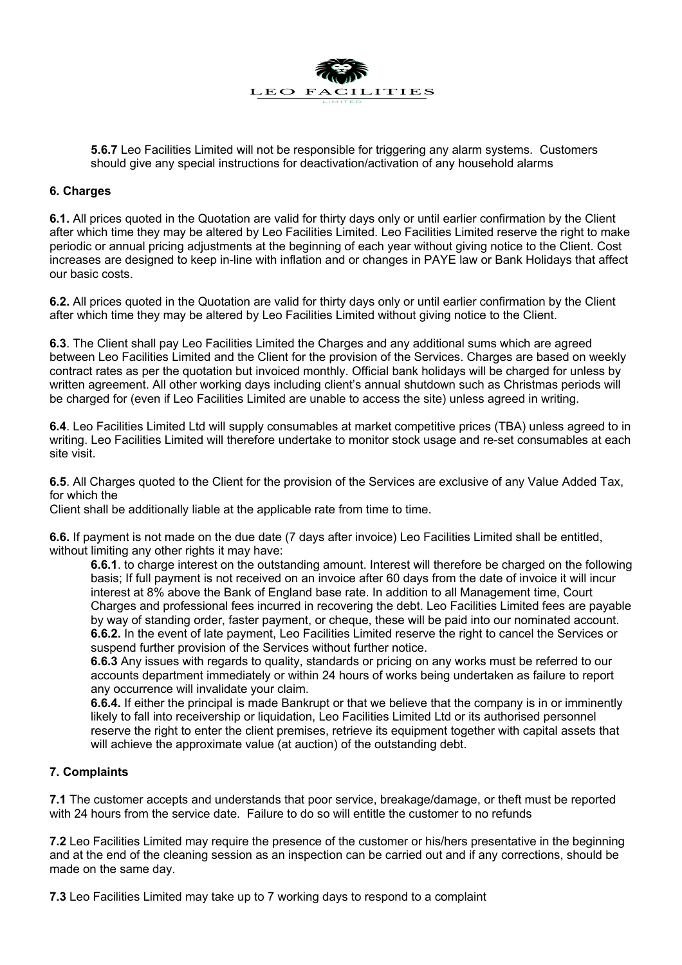

**5.6.7** Leo Facilities Limited will not be responsible for triggering any alarm systems. Customers should give any special instructions for deactivation/activation of any household alarms

### **6. Charges**

**6.1.** All prices quoted in the Quotation are valid for thirty days only or until earlier confirmation by the Client after which time they may be altered by Leo Facilities Limited. Leo Facilities Limited reserve the right to make periodic or annual pricing adjustments at the beginning of each year without giving notice to the Client. Cost increases are designed to keep in-line with inflation and or changes in PAYE law or Bank Holidays that affect our basic costs.

**6.2.** All prices quoted in the Quotation are valid for thirty days only or until earlier confirmation by the Client after which time they may be altered by Leo Facilities Limited without giving notice to the Client.

**6.3**. The Client shall pay Leo Facilities Limited the Charges and any additional sums which are agreed between Leo Facilities Limited and the Client for the provision of the Services. Charges are based on weekly contract rates as per the quotation but invoiced monthly. Official bank holidays will be charged for unless by written agreement. All other working days including client's annual shutdown such as Christmas periods will be charged for (even if Leo Facilities Limited are unable to access the site) unless agreed in writing.

**6.4**. Leo Facilities Limited Ltd will supply consumables at market competitive prices (TBA) unless agreed to in writing. Leo Facilities Limited will therefore undertake to monitor stock usage and re-set consumables at each site visit.

**6.5**. All Charges quoted to the Client for the provision of the Services are exclusive of any Value Added Tax, for which the

Client shall be additionally liable at the applicable rate from time to time.

**6.6.** If payment is not made on the due date (7 days after invoice) Leo Facilities Limited shall be entitled, without limiting any other rights it may have:

**6.6.1**. to charge interest on the outstanding amount. Interest will therefore be charged on the following basis; If full payment is not received on an invoice after 60 days from the date of invoice it will incur interest at 8% above the Bank of England base rate. In addition to all Management time, Court Charges and professional fees incurred in recovering the debt. Leo Facilities Limited fees are payable by way of standing order, faster payment, or cheque, these will be paid into our nominated account. **6.6.2.** In the event of late payment, Leo Facilities Limited reserve the right to cancel the Services or suspend further provision of the Services without further notice.

**6.6.3** Any issues with regards to quality, standards or pricing on any works must be referred to our accounts department immediately or within 24 hours of works being undertaken as failure to report any occurrence will invalidate your claim.

**6.6.4.** If either the principal is made Bankrupt or that we believe that the company is in or imminently likely to fall into receivership or liquidation, Leo Facilities Limited Ltd or its authorised personnel reserve the right to enter the client premises, retrieve its equipment together with capital assets that will achieve the approximate value (at auction) of the outstanding debt.

### **7. Complaints**

**7.1** The customer accepts and understands that poor service, breakage/damage, or theft must be reported with 24 hours from the service date. Failure to do so will entitle the customer to no refunds

**7.2** Leo Facilities Limited may require the presence of the customer or his/hers presentative in the beginning and at the end of the cleaning session as an inspection can be carried out and if any corrections, should be made on the same day.

**7.3** Leo Facilities Limited may take up to 7 working days to respond to a complaint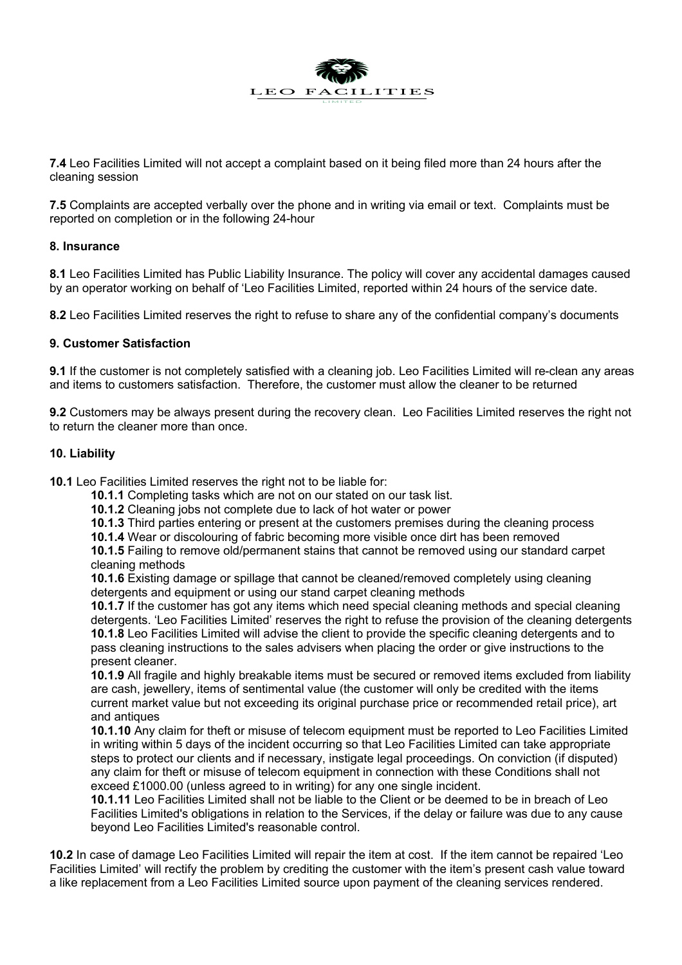

**7.4** Leo Facilities Limited will not accept a complaint based on it being filed more than 24 hours after the cleaning session

**7.5** Complaints are accepted verbally over the phone and in writing via email or text. Complaints must be reported on completion or in the following 24-hour

### **8. Insurance**

**8.1** Leo Facilities Limited has Public Liability Insurance. The policy will cover any accidental damages caused by an operator working on behalf of 'Leo Facilities Limited, reported within 24 hours of the service date.

**8.2** Leo Facilities Limited reserves the right to refuse to share any of the confidential company's documents

### **9. Customer Satisfaction**

**9.1** If the customer is not completely satisfied with a cleaning job. Leo Facilities Limited will re-clean any areas and items to customers satisfaction. Therefore, the customer must allow the cleaner to be returned

**9.2** Customers may be always present during the recovery clean. Leo Facilities Limited reserves the right not to return the cleaner more than once.

### **10. Liability**

**10.1** Leo Facilities Limited reserves the right not to be liable for:

- **10.1.1** Completing tasks which are not on our stated on our task list.
- **10.1.2** Cleaning jobs not complete due to lack of hot water or power

**10.1.3** Third parties entering or present at the customers premises during the cleaning process

**10.1.4** Wear or discolouring of fabric becoming more visible once dirt has been removed

**10.1.5** Failing to remove old/permanent stains that cannot be removed using our standard carpet cleaning methods

**10.1.6** Existing damage or spillage that cannot be cleaned/removed completely using cleaning detergents and equipment or using our stand carpet cleaning methods

**10.1.7** If the customer has got any items which need special cleaning methods and special cleaning detergents. 'Leo Facilities Limited' reserves the right to refuse the provision of the cleaning detergents **10.1.8** Leo Facilities Limited will advise the client to provide the specific cleaning detergents and to pass cleaning instructions to the sales advisers when placing the order or give instructions to the present cleaner.

**10.1.9** All fragile and highly breakable items must be secured or removed items excluded from liability are cash, jewellery, items of sentimental value (the customer will only be credited with the items current market value but not exceeding its original purchase price or recommended retail price), art and antiques

**10.1.10** Any claim for theft or misuse of telecom equipment must be reported to Leo Facilities Limited in writing within 5 days of the incident occurring so that Leo Facilities Limited can take appropriate steps to protect our clients and if necessary, instigate legal proceedings. On conviction (if disputed) any claim for theft or misuse of telecom equipment in connection with these Conditions shall not exceed £1000.00 (unless agreed to in writing) for any one single incident.

**10.1.11** Leo Facilities Limited shall not be liable to the Client or be deemed to be in breach of Leo Facilities Limited's obligations in relation to the Services, if the delay or failure was due to any cause beyond Leo Facilities Limited's reasonable control.

**10.2** In case of damage Leo Facilities Limited will repair the item at cost. If the item cannot be repaired 'Leo Facilities Limited' will rectify the problem by crediting the customer with the item's present cash value toward a like replacement from a Leo Facilities Limited source upon payment of the cleaning services rendered.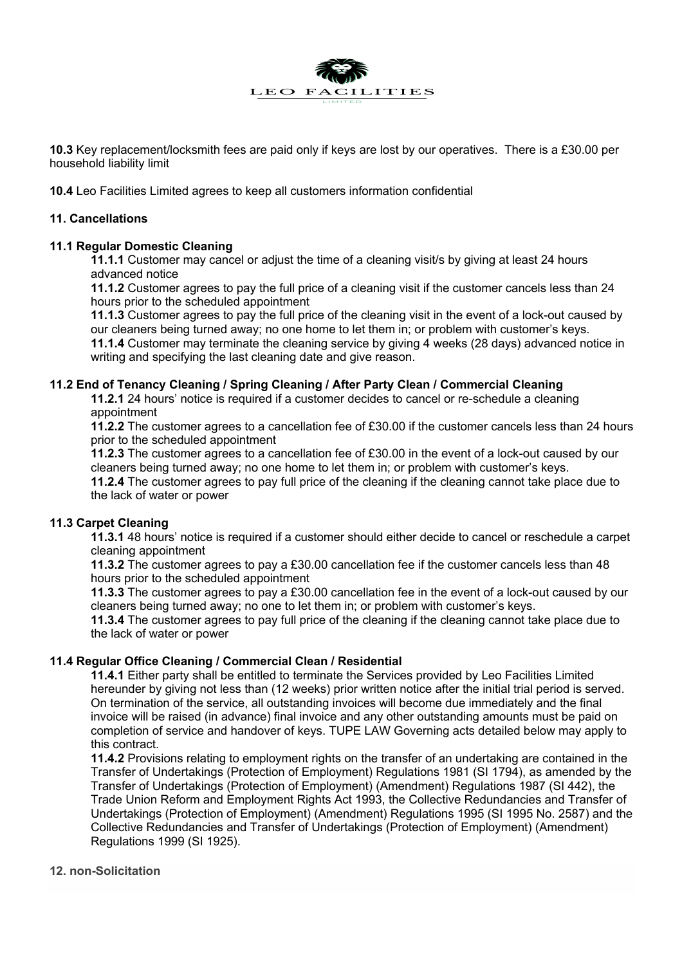

**10.3** Key replacement/locksmith fees are paid only if keys are lost by our operatives. There is a £30.00 per household liability limit

**10.4** Leo Facilities Limited agrees to keep all customers information confidential

### **11. Cancellations**

### **11.1 Regular Domestic Cleaning**

**11.1.1** Customer may cancel or adjust the time of a cleaning visit/s by giving at least 24 hours advanced notice

**11.1.2** Customer agrees to pay the full price of a cleaning visit if the customer cancels less than 24 hours prior to the scheduled appointment

**11.1.3** Customer agrees to pay the full price of the cleaning visit in the event of a lock-out caused by our cleaners being turned away; no one home to let them in; or problem with customer's keys. **11.1.4** Customer may terminate the cleaning service by giving 4 weeks (28 days) advanced notice in writing and specifying the last cleaning date and give reason.

### **11.2 End of Tenancy Cleaning / Spring Cleaning / After Party Clean / Commercial Cleaning**

**11.2.1** 24 hours' notice is required if a customer decides to cancel or re-schedule a cleaning appointment

**11.2.2** The customer agrees to a cancellation fee of £30.00 if the customer cancels less than 24 hours prior to the scheduled appointment

**11.2.3** The customer agrees to a cancellation fee of £30.00 in the event of a lock-out caused by our cleaners being turned away; no one home to let them in; or problem with customer's keys. **11.2.4** The customer agrees to pay full price of the cleaning if the cleaning cannot take place due to the lack of water or power

# **11.3 Carpet Cleaning**

**11.3.1** 48 hours' notice is required if a customer should either decide to cancel or reschedule a carpet cleaning appointment

**11.3.2** The customer agrees to pay a £30.00 cancellation fee if the customer cancels less than 48 hours prior to the scheduled appointment

**11.3.3** The customer agrees to pay a £30.00 cancellation fee in the event of a lock-out caused by our cleaners being turned away; no one to let them in; or problem with customer's keys.

**11.3.4** The customer agrees to pay full price of the cleaning if the cleaning cannot take place due to the lack of water or power

### **11.4 Regular Office Cleaning / Commercial Clean / Residential**

**11.4.1** Either party shall be entitled to terminate the Services provided by Leo Facilities Limited hereunder by giving not less than (12 weeks) prior written notice after the initial trial period is served. On termination of the service, all outstanding invoices will become due immediately and the final invoice will be raised (in advance) final invoice and any other outstanding amounts must be paid on completion of service and handover of keys. TUPE LAW Governing acts detailed below may apply to this contract.

**11.4.2** Provisions relating to employment rights on the transfer of an undertaking are contained in the Transfer of Undertakings (Protection of Employment) Regulations 1981 (SI 1794), as amended by the Transfer of Undertakings (Protection of Employment) (Amendment) Regulations 1987 (SI 442), the Trade Union Reform and Employment Rights Act 1993, the Collective Redundancies and Transfer of Undertakings (Protection of Employment) (Amendment) Regulations 1995 (SI 1995 No. 2587) and the Collective Redundancies and Transfer of Undertakings (Protection of Employment) (Amendment) Regulations 1999 (SI 1925).

### **12. non-Solicitation**